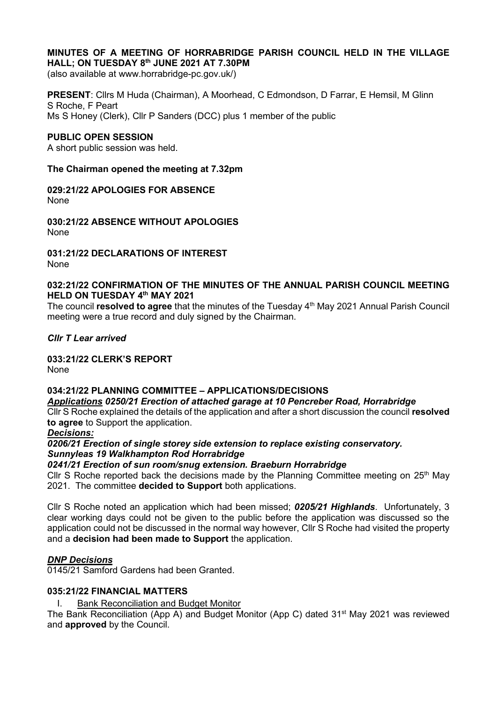# **MINUTES OF A MEETING OF HORRABRIDGE PARISH COUNCIL HELD IN THE VILLAGE HALL; ON TUESDAY 8 th JUNE 2021 AT 7.30PM**

(also available at www.horrabridge-pc.gov.uk/)

**PRESENT**: Cllrs M Huda (Chairman), A Moorhead, C Edmondson, D Farrar, E Hemsil, M Glinn S Roche, F Peart Ms S Honey (Clerk), Cllr P Sanders (DCC) plus 1 member of the public

### **PUBLIC OPEN SESSION**

A short public session was held.

### **The Chairman opened the meeting at 7.32pm**

#### **029:21/22 APOLOGIES FOR ABSENCE** None

**030:21/22 ABSENCE WITHOUT APOLOGIES**

None

**031:21/22 DECLARATIONS OF INTEREST**  None

# **032:21/22 CONFIRMATION OF THE MINUTES OF THE ANNUAL PARISH COUNCIL MEETING HELD ON TUESDAY 4 th MAY 2021**

The council **resolved to agree** that the minutes of the Tuesday 4th May 2021 Annual Parish Council meeting were a true record and duly signed by the Chairman.

### *Cllr T Lear arrived*

**033:21/22 CLERK'S REPORT** 

None

# **034:21/22 PLANNING COMMITTEE – APPLICATIONS/DECISIONS**

# *Applications 0250/21 Erection of attached garage at 10 Pencreber Road, Horrabridge*

Cllr S Roche explained the details of the application and after a short discussion the council **resolved to agree** to Support the application.

# *Decisions:*

*0206/21 Erection of single storey side extension to replace existing conservatory. Sunnyleas 19 Walkhampton Rod Horrabridge*

### *0241/21 Erection of sun room/snug extension. Braeburn Horrabridge*

Cllr S Roche reported back the decisions made by the Planning Committee meeting on  $25<sup>th</sup>$  May 2021. The committee **decided to Support** both applications.

Cllr S Roche noted an application which had been missed; *0205/21 Highlands*. Unfortunately, 3 clear working days could not be given to the public before the application was discussed so the application could not be discussed in the normal way however, Cllr S Roche had visited the property and a **decision had been made to Support** the application.

# *DNP Decisions*

0145/21 Samford Gardens had been Granted.

# **035:21/22 FINANCIAL MATTERS**

I. Bank Reconciliation and Budget Monitor

The Bank Reconciliation (App A) and Budget Monitor (App C) dated 31<sup>st</sup> May 2021 was reviewed and **approved** by the Council.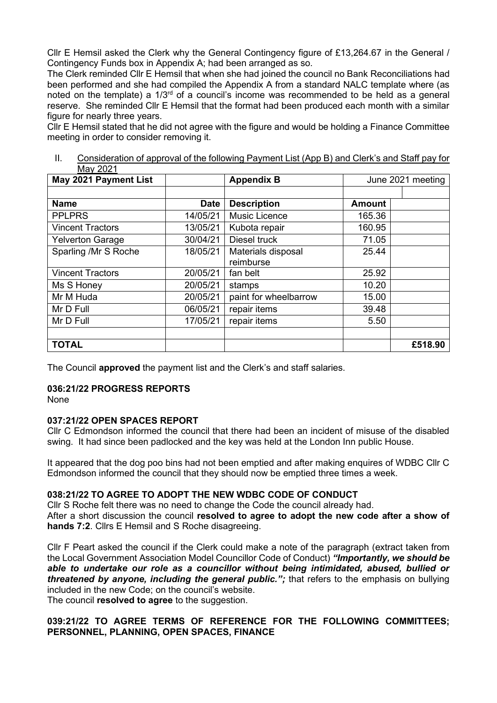Cllr E Hemsil asked the Clerk why the General Contingency figure of £13,264.67 in the General / Contingency Funds box in Appendix A; had been arranged as so.

The Clerk reminded Cllr E Hemsil that when she had joined the council no Bank Reconciliations had been performed and she had compiled the Appendix A from a standard NALC template where (as noted on the template) a 1/3<sup>rd</sup> of a council's income was recommended to be held as a general reserve. She reminded Cllr E Hemsil that the format had been produced each month with a similar figure for nearly three years.

Cllr E Hemsil stated that he did not agree with the figure and would be holding a Finance Committee meeting in order to consider removing it.

II. Consideration of approval of the following Payment List (App B) and Clerk's and Staff pay for May 2021

| May 2021 Payment List   |             | <b>Appendix B</b>     |               | June 2021 meeting |  |
|-------------------------|-------------|-----------------------|---------------|-------------------|--|
|                         |             |                       |               |                   |  |
| <b>Name</b>             | <b>Date</b> | <b>Description</b>    | <b>Amount</b> |                   |  |
| <b>PPLPRS</b>           | 14/05/21    | Music Licence         | 165.36        |                   |  |
| <b>Vincent Tractors</b> | 13/05/21    | Kubota repair         | 160.95        |                   |  |
| <b>Yelverton Garage</b> | 30/04/21    | Diesel truck          | 71.05         |                   |  |
| Sparling /Mr S Roche    | 18/05/21    | Materials disposal    | 25.44         |                   |  |
|                         |             | reimburse             |               |                   |  |
| <b>Vincent Tractors</b> | 20/05/21    | fan belt              | 25.92         |                   |  |
| Ms S Honey              | 20/05/21    | stamps                | 10.20         |                   |  |
| Mr M Huda               | 20/05/21    | paint for wheelbarrow | 15.00         |                   |  |
| Mr D Full               | 06/05/21    | repair items          | 39.48         |                   |  |
| Mr D Full               | 17/05/21    | repair items          | 5.50          |                   |  |
|                         |             |                       |               |                   |  |
| <b>TOTAL</b>            |             |                       |               | £518.90           |  |

The Council **approved** the payment list and the Clerk's and staff salaries.

# **036:21/22 PROGRESS REPORTS**

None

# **037:21/22 OPEN SPACES REPORT**

Cllr C Edmondson informed the council that there had been an incident of misuse of the disabled swing. It had since been padlocked and the key was held at the London Inn public House.

It appeared that the dog poo bins had not been emptied and after making enquires of WDBC Cllr C Edmondson informed the council that they should now be emptied three times a week.

# **038:21/22 TO AGREE TO ADOPT THE NEW WDBC CODE OF CONDUCT**

Cllr S Roche felt there was no need to change the Code the council already had. After a short discussion the council **resolved to agree to adopt the new code after a show of hands 7:2**. Cllrs E Hemsil and S Roche disagreeing.

Cllr F Peart asked the council if the Clerk could make a note of the paragraph (extract taken from the Local Government Association Model Councillor Code of Conduct) *"Importantly, we should be able to undertake our role as a councillor without being intimidated, abused, bullied or threatened by anyone, including the general public.";* that refers to the emphasis on bullying included in the new Code; on the council's website.

The council **resolved to agree** to the suggestion.

# **039:21/22 TO AGREE TERMS OF REFERENCE FOR THE FOLLOWING COMMITTEES; PERSONNEL, PLANNING, OPEN SPACES, FINANCE**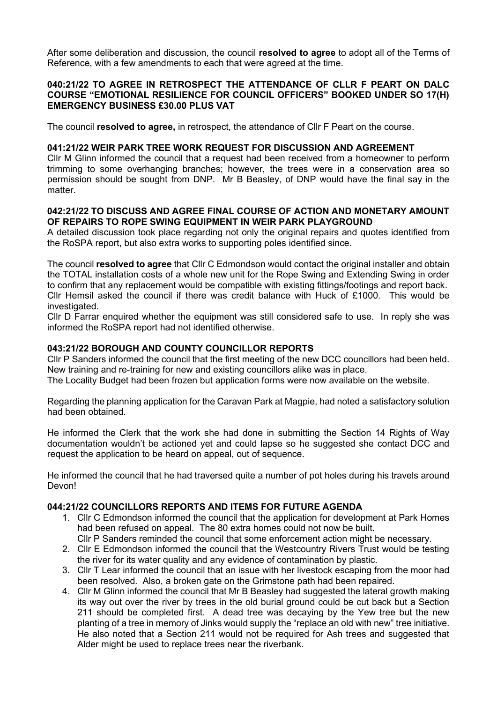After some deliberation and discussion, the council **resolved to agree** to adopt all of the Terms of Reference, with a few amendments to each that were agreed at the time.

### **040:21/22 TO AGREE IN RETROSPECT THE ATTENDANCE OF CLLR F PEART ON DALC COURSE "EMOTIONAL RESILIENCE FOR COUNCIL OFFICERS" BOOKED UNDER SO 17(H) EMERGENCY BUSINESS £30.00 PLUS VAT**

The council **resolved to agree,** in retrospect, the attendance of Cllr F Peart on the course.

### **041:21/22 WEIR PARK TREE WORK REQUEST FOR DISCUSSION AND AGREEMENT**

Cllr M Glinn informed the council that a request had been received from a homeowner to perform trimming to some overhanging branches; however, the trees were in a conservation area so permission should be sought from DNP. Mr B Beasley, of DNP would have the final say in the matter.

#### **042:21/22 TO DISCUSS AND AGREE FINAL COURSE OF ACTION AND MONETARY AMOUNT OF REPAIRS TO ROPE SWING EQUIPMENT IN WEIR PARK PLAYGROUND**

A detailed discussion took place regarding not only the original repairs and quotes identified from the RoSPA report, but also extra works to supporting poles identified since.

The council **resolved to agree** that Cllr C Edmondson would contact the original installer and obtain the TOTAL installation costs of a whole new unit for the Rope Swing and Extending Swing in order to confirm that any replacement would be compatible with existing fittings/footings and report back. Cllr Hemsil asked the council if there was credit balance with Huck of £1000. This would be investigated.

Cllr D Farrar enquired whether the equipment was still considered safe to use. In reply she was informed the RoSPA report had not identified otherwise.

### **043:21/22 BOROUGH AND COUNTY COUNCILLOR REPORTS**

Cllr P Sanders informed the council that the first meeting of the new DCC councillors had been held. New training and re-training for new and existing councillors alike was in place.

The Locality Budget had been frozen but application forms were now available on the website.

Regarding the planning application for the Caravan Park at Magpie, had noted a satisfactory solution had been obtained.

He informed the Clerk that the work she had done in submitting the Section 14 Rights of Way documentation wouldn't be actioned yet and could lapse so he suggested she contact DCC and request the application to be heard on appeal, out of sequence.

He informed the council that he had traversed quite a number of pot holes during his travels around Devon!

### **044:21/22 COUNCILLORS REPORTS AND ITEMS FOR FUTURE AGENDA**

- 1. Cllr C Edmondson informed the council that the application for development at Park Homes had been refused on appeal. The 80 extra homes could not now be built.
- Cllr P Sanders reminded the council that some enforcement action might be necessary.
- 2. Cllr E Edmondson informed the council that the Westcountry Rivers Trust would be testing the river for its water quality and any evidence of contamination by plastic.
- 3. Cllr T Lear informed the council that an issue with her livestock escaping from the moor had been resolved. Also, a broken gate on the Grimstone path had been repaired.
- 4. Cllr M Glinn informed the council that Mr B Beasley had suggested the lateral growth making its way out over the river by trees in the old burial ground could be cut back but a Section 211 should be completed first. A dead tree was decaying by the Yew tree but the new planting of a tree in memory of Jinks would supply the "replace an old with new" tree initiative. He also noted that a Section 211 would not be required for Ash trees and suggested that Alder might be used to replace trees near the riverbank.